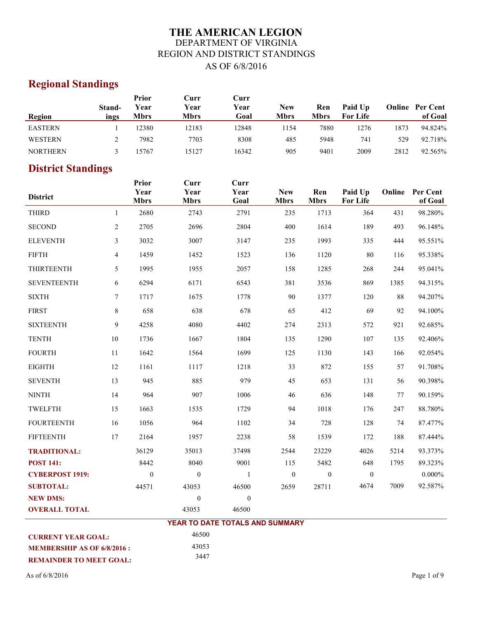# **THE AMERICAN LEGION** DEPARTMENT OF VIRGINIA REGION AND DISTRICT STANDINGS AS OF 6/8/2016

# **Regional Standings**

|                 |        | Prior       | Curr        | Curr  |             |             |                 |      |                        |
|-----------------|--------|-------------|-------------|-------|-------------|-------------|-----------------|------|------------------------|
|                 | Stand- | Year        | Year        | Year  | <b>New</b>  | Ren         | Paid Up         |      | <b>Online</b> Per Cent |
| Region          | ings   | <b>Mbrs</b> | <b>Mbrs</b> | Goal  | <b>Mbrs</b> | <b>Mbrs</b> | <b>For Life</b> |      | of Goal                |
| <b>EASTERN</b>  |        | 12380       | 12183       | 12848 | .154        | 7880        | 1276            | 1873 | 94.824%                |
| WESTERN         |        | 7982        | 7703        | 8308  | 485         | 5948        | 741             | 529  | 92.718%                |
| <b>NORTHERN</b> |        | 15767       | 15127       | 16342 | 905         | 9401        | 2009            | 2812 | 92.565%                |

# **District Standings**

| <b>District</b>           |                | <b>Prior</b><br>Year<br><b>Mbrs</b> | Curr<br>Year<br><b>Mbrs</b>     | Curr<br>Year<br>Goal | <b>New</b><br><b>Mbrs</b> | Ren<br><b>Mbrs</b> | Paid Up<br><b>For Life</b> |      | Online Per Cent<br>of Goal |
|---------------------------|----------------|-------------------------------------|---------------------------------|----------------------|---------------------------|--------------------|----------------------------|------|----------------------------|
| <b>THIRD</b>              | $\mathbf{1}$   | 2680                                | 2743                            | 2791                 | 235                       | 1713               | 364                        | 431  | 98.280%                    |
| <b>SECOND</b>             | $\overline{c}$ | 2705                                | 2696                            | 2804                 | 400                       | 1614               | 189                        | 493  | 96.148%                    |
| <b>ELEVENTH</b>           | 3              | 3032                                | 3007                            | 3147                 | 235                       | 1993               | 335                        | 444  | 95.551%                    |
| <b>FIFTH</b>              | 4              | 1459                                | 1452                            | 1523                 | 136                       | 1120               | 80                         | 116  | 95.338%                    |
| <b>THIRTEENTH</b>         | 5              | 1995                                | 1955                            | 2057                 | 158                       | 1285               | 268                        | 244  | 95.041%                    |
| <b>SEVENTEENTH</b>        | 6              | 6294                                | 6171                            | 6543                 | 381                       | 3536               | 869                        | 1385 | 94.315%                    |
| <b>SIXTH</b>              | $\tau$         | 1717                                | 1675                            | 1778                 | 90                        | 1377               | 120                        | 88   | 94.207%                    |
| <b>FIRST</b>              | 8              | 658                                 | 638                             | 678                  | 65                        | 412                | 69                         | 92   | 94.100%                    |
| <b>SIXTEENTH</b>          | 9              | 4258                                | 4080                            | 4402                 | 274                       | 2313               | 572                        | 921  | 92.685%                    |
| <b>TENTH</b>              | 10             | 1736                                | 1667                            | 1804                 | 135                       | 1290               | 107                        | 135  | 92.406%                    |
| <b>FOURTH</b>             | 11             | 1642                                | 1564                            | 1699                 | 125                       | 1130               | 143                        | 166  | 92.054%                    |
| <b>EIGHTH</b>             | 12             | 1161                                | 1117                            | 1218                 | 33                        | 872                | 155                        | 57   | 91.708%                    |
| <b>SEVENTH</b>            | 13             | 945                                 | 885                             | 979                  | 45                        | 653                | 131                        | 56   | 90.398%                    |
| <b>NINTH</b>              | 14             | 964                                 | 907                             | 1006                 | 46                        | 636                | 148                        | 77   | 90.159%                    |
| TWELFTH                   | 15             | 1663                                | 1535                            | 1729                 | 94                        | 1018               | 176                        | 247  | 88.780%                    |
| <b>FOURTEENTH</b>         | 16             | 1056                                | 964                             | 1102                 | 34                        | 728                | 128                        | 74   | 87.477%                    |
| <b>FIFTEENTH</b>          | 17             | 2164                                | 1957                            | 2238                 | 58                        | 1539               | 172                        | 188  | 87.444%                    |
| <b>TRADITIONAL:</b>       |                | 36129                               | 35013                           | 37498                | 2544                      | 23229              | 4026                       | 5214 | 93.373%                    |
| <b>POST 141:</b>          |                | 8442                                | 8040                            | 9001                 | 115                       | 5482               | 648                        | 1795 | 89.323%                    |
| <b>CYBERPOST 1919:</b>    |                | $\boldsymbol{0}$                    | $\overline{0}$                  | $\mathbf{1}$         | $\boldsymbol{0}$          | $\boldsymbol{0}$   | $\boldsymbol{0}$           |      | $0.000\%$                  |
| <b>SUBTOTAL:</b>          |                | 44571                               | 43053                           | 46500                | 2659                      | 28711              | 4674                       | 7009 | 92.587%                    |
| <b>NEW DMS:</b>           |                |                                     | $\mathbf{0}$                    | $\boldsymbol{0}$     |                           |                    |                            |      |                            |
| <b>OVERALL TOTAL</b>      |                |                                     | 43053                           | 46500                |                           |                    |                            |      |                            |
|                           |                |                                     | YEAR TO DATE TOTALS AND SUMMARY |                      |                           |                    |                            |      |                            |
| <b>CURRENT YEAR GOAL:</b> |                |                                     | 46500                           |                      |                           |                    |                            |      |                            |

43053 3447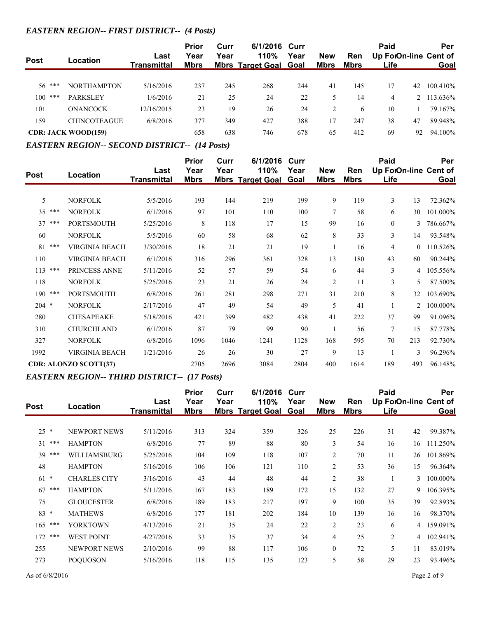#### *EASTERN REGION-- FIRST DISTRICT-- (4 Posts)*

| <b>Post</b> | Location                   | Last<br>Transmittal | <b>Prior</b><br>Year<br><u>Mbrs</u> | Curr<br>Year | 6/1/2016 Curr<br><b>110%</b><br><b>Mbrs Target Goal Goal</b> | Year | <b>New</b><br><u>Mbrs</u> | <b>Ren</b><br><u>Mbrs</u> | Paid<br>Life |    | Per<br>Up ForOn-line Cent of<br><b>Goal</b> |
|-------------|----------------------------|---------------------|-------------------------------------|--------------|--------------------------------------------------------------|------|---------------------------|---------------------------|--------------|----|---------------------------------------------|
|             |                            |                     |                                     |              |                                                              |      |                           |                           |              |    |                                             |
| $56$ ***    | <b>NORTHAMPTON</b>         | 5/16/2016           | 237                                 | 245          | 268                                                          | 244  | 41                        | 145                       | 17           | 42 | 100.410\%                                   |
| ***<br>100  | <b>PARKSLEY</b>            | 1/6/2016            | 21                                  | 25           | 24                                                           | 22   |                           | 14                        | 4            |    | 2 113.636%                                  |
| 101         | <b>ONANCOCK</b>            | 12/16/2015          | 23                                  | 19           | 26                                                           | 24   | 2                         | 6                         | 10           |    | 79.167%                                     |
| 159         | <b>CHINCOTEAGUE</b>        | 6/8/2016            | 377                                 | 349          | 427                                                          | 388  | 17                        | 247                       | 38           | 47 | 89.948%                                     |
|             | <b>CDR: JACK WOOD(159)</b> |                     | 658                                 | 638          | 746                                                          | 678  | 65                        | 412                       | 69           | 92 | 94.100%                                     |

#### *EASTERN REGION-- SECOND DISTRICT-- (14 Posts)*

|             |                              |                    | <b>Prior</b> | Curr | 6/1/2016                | Curr |                |             | Paid           |                | Per                   |
|-------------|------------------------------|--------------------|--------------|------|-------------------------|------|----------------|-------------|----------------|----------------|-----------------------|
| <b>Post</b> | Location                     | Last               | Year         | Year | 110%                    | Year | <b>New</b>     | Ren         |                |                | Up ForOn-line Cent of |
|             |                              | <b>Transmittal</b> | <b>Mbrs</b>  |      | <b>Mbrs Target Goal</b> | Goal | <b>Mbrs</b>    | <b>Mbrs</b> | Life           |                | Goal                  |
|             |                              |                    |              |      |                         |      |                |             |                |                |                       |
| 5           | <b>NORFOLK</b>               | 5/5/2016           | 193          | 144  | 219                     | 199  | 9              | 119         | 3              | 13             | 72.362%               |
| $35***$     | <b>NORFOLK</b>               | 6/1/2016           | 97           | 101  | 110                     | 100  | 7              | 58          | 6              | 30             | 101.000%              |
| 37<br>***   | <b>PORTSMOUTH</b>            | 5/25/2016          | 8            | 118  | 17                      | 15   | 99             | 16          | $\mathbf{0}$   | 3              | 786.667%              |
| 60          | <b>NORFOLK</b>               | 5/5/2016           | 60           | 58   | 68                      | 62   | 8              | 33          | 3              | 14             | 93.548%               |
| 81<br>***   | <b>VIRGINIA BEACH</b>        | 3/30/2016          | 18           | 21   | 21                      | 19   | $\mathbf{1}$   | 16          | $\overline{4}$ | $\overline{0}$ | 110.526%              |
| 110         | <b>VIRGINIA BEACH</b>        | 6/1/2016           | 316          | 296  | 361                     | 328  | 13             | 180         | 43             | 60             | 90.244%               |
| 113<br>***  | PRINCESS ANNE                | 5/11/2016          | 52           | 57   | 59                      | 54   | 6              | 44          | $\mathfrak{Z}$ | 4              | 105.556%              |
| 118         | <b>NORFOLK</b>               | 5/25/2016          | 23           | 21   | 26                      | 24   | $\overline{2}$ | 11          | 3              | 5              | 87.500%               |
| 190 ***     | <b>PORTSMOUTH</b>            | 6/8/2016           | 261          | 281  | 298                     | 271  | 31             | 210         | 8              | 32             | 103.690%              |
| $204$ *     | <b>NORFOLK</b>               | 2/17/2016          | 47           | 49   | 54                      | 49   | 5              | 41          | 1              | 2              | 100.000%              |
| 280         | <b>CHESAPEAKE</b>            | 5/18/2016          | 421          | 399  | 482                     | 438  | 41             | 222         | 37             | 99             | 91.096%               |
| 310         | <b>CHURCHLAND</b>            | 6/1/2016           | 87           | 79   | 99                      | 90   | 1              | 56          | $\tau$         | 15             | 87.778%               |
| 327         | <b>NORFOLK</b>               | 6/8/2016           | 1096         | 1046 | 1241                    | 1128 | 168            | 595         | 70             | 213            | 92.730%               |
| 1992        | <b>VIRGINIA BEACH</b>        | 1/21/2016          | 26           | 26   | 30                      | 27   | 9              | 13          |                | 3              | 96.296%               |
|             | <b>CDR: ALONZO SCOTT(37)</b> |                    | 2705         | 2696 | 3084                    | 2804 | 400            | 1614        | 189            | 493            | 96.148%               |

#### *EASTERN REGION-- THIRD DISTRICT-- (17 Posts)*

|             |                     |                            | <b>Prior</b> | Curr | 6/1/2016                        | Curr         |                           |                    | Paid                          |    | Per      |
|-------------|---------------------|----------------------------|--------------|------|---------------------------------|--------------|---------------------------|--------------------|-------------------------------|----|----------|
| <b>Post</b> | Location            | Last<br><b>Transmittal</b> | Year<br>Mbrs | Year | 110%<br><b>Mbrs Target Goal</b> | Year<br>Goal | <b>New</b><br><b>Mbrs</b> | Ren<br><b>Mbrs</b> | Up ForOn-line Cent of<br>Life |    | Goal     |
|             |                     |                            |              |      |                                 |              |                           |                    |                               |    |          |
| $25 *$      | <b>NEWPORT NEWS</b> | 5/11/2016                  | 313          | 324  | 359                             | 326          | 25                        | 226                | 31                            | 42 | 99.387%  |
| ***<br>31   | <b>HAMPTON</b>      | 6/8/2016                   | 77           | 89   | 88                              | 80           | 3                         | 54                 | 16                            | 16 | 111.250% |
| $39***$     | WILLIAMSBURG        | 5/25/2016                  | 104          | 109  | 118                             | 107          | 2                         | 70                 | 11                            | 26 | 101.869% |
| 48          | <b>HAMPTON</b>      | 5/16/2016                  | 106          | 106  | 121                             | 110          | 2                         | 53                 | 36                            | 15 | 96.364%  |
| $61 *$      | <b>CHARLES CITY</b> | 3/16/2016                  | 43           | 44   | 48                              | 44           | $\overline{2}$            | 38                 |                               | 3  | 100.000% |
| ***<br>67   | <b>HAMPTON</b>      | 5/11/2016                  | 167          | 183  | 189                             | 172          | 15                        | 132                | 27                            | 9  | 106.395% |
| 75          | <b>GLOUCESTER</b>   | 6/8/2016                   | 189          | 183  | 217                             | 197          | 9                         | 100                | 35                            | 39 | 92.893%  |
| $83 *$      | <b>MATHEWS</b>      | 6/8/2016                   | 177          | 181  | 202                             | 184          | 10                        | 139                | 16                            | 16 | 98.370%  |
| $165$ ***   | <b>YORKTOWN</b>     | 4/13/2016                  | 21           | 35   | 24                              | 22           | $\overline{2}$            | 23                 | 6                             | 4  | 159.091% |
| $172$ ***   | <b>WEST POINT</b>   | 4/27/2016                  | 33           | 35   | 37                              | 34           | $\overline{4}$            | 25                 | $\overline{2}$                | 4  | 102.941% |
| 255         | <b>NEWPORT NEWS</b> | 2/10/2016                  | 99           | 88   | 117                             | 106          | $\mathbf{0}$              | 72                 | 5                             | 11 | 83.019%  |
| 273         | <b>POQUOSON</b>     | 5/16/2016                  | 118          | 115  | 135                             | 123          | 5                         | 58                 | 29                            | 23 | 93.496%  |
|             |                     |                            |              |      |                                 |              |                           |                    |                               |    |          |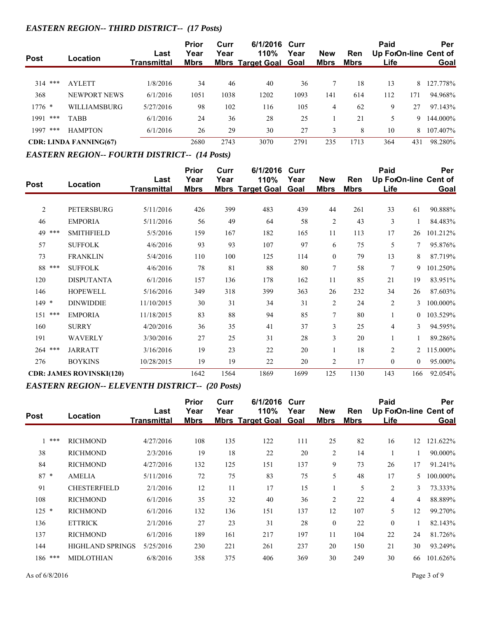# *EASTERN REGION-- THIRD DISTRICT-- (17 Posts)*

| <b>Post</b> | Location                      | Last<br>Transmittal | <b>Prior</b><br>Year<br><u>Mbrs</u> | Curr<br>Year | 6/1/2016 Curr<br>110%<br><u>Mbrs Target Goal Goal</u> | Year | <b>New</b><br><u>Mbrs</u> | <b>Ren</b><br><u>Mbrs</u> | Paid<br>Life |     | Per<br>Up ForOn-line Cent of<br><b>Goal</b> |
|-------------|-------------------------------|---------------------|-------------------------------------|--------------|-------------------------------------------------------|------|---------------------------|---------------------------|--------------|-----|---------------------------------------------|
|             |                               |                     |                                     |              |                                                       |      |                           |                           |              |     |                                             |
| 314<br>***  | <b>AYLETT</b>                 | 1/8/2016            | 34                                  | 46           | 40                                                    | 36   |                           | 18                        | 13           | 8   | 127.778%                                    |
| 368         | NEWPORT NEWS                  | 6/1/2016            | 1051                                | 1038         | 1202                                                  | 1093 | 141                       | 614                       | 112          | 171 | 94.968%                                     |
| $1776$ *    | WILLIAMSBURG                  | 5/27/2016           | 98                                  | 102          | 116                                                   | 105  | 4                         | 62                        | 9            | 27  | 97.143%                                     |
| ***<br>1991 | <b>TABB</b>                   | 6/1/2016            | 24                                  | 36           | 28                                                    | 25   |                           | 21                        | 5            | 9   | 144.000%                                    |
| 1997<br>*** | <b>HAMPTON</b>                | 6/1/2016            | 26                                  | 29           | 30                                                    | 27   |                           | 8                         | 10           | 8   | 107.407%                                    |
|             | <b>CDR: LINDA FANNING(67)</b> |                     | 2680                                | 2743         | 3070                                                  | 2791 | 235                       | 1713                      | 364          | 431 | 98.280%                                     |

#### *EASTERN REGION-- FOURTH DISTRICT-- (14 Posts)*

|            |                                 |                    | <b>Prior</b> | Curr | 6/1/2016                | Curr |                |             | <b>Paid</b>           |                | Per      |
|------------|---------------------------------|--------------------|--------------|------|-------------------------|------|----------------|-------------|-----------------------|----------------|----------|
| Post       | Location                        | Last               | Year         | Year | 110%                    | Year | <b>New</b>     | Ren         | Up ForOn-line Cent of |                |          |
|            |                                 | <b>Transmittal</b> | <b>Mbrs</b>  |      | <b>Mbrs Target Goal</b> | Goal | <b>Mbrs</b>    | <b>Mbrs</b> | Life                  |                | Goal     |
| 2          | PETERSBURG                      | 5/11/2016          | 426          | 399  | 483                     | 439  | 44             | 261         | 33                    | 61             | 90.888%  |
| 46         | <b>EMPORIA</b>                  | 5/11/2016          | 56           | 49   | 64                      | 58   | $\mathbf{2}$   | 43          | 3                     |                | 84.483%  |
| 49 ***     | <b>SMITHFIELD</b>               | 5/5/2016           | 159          | 167  | 182                     | 165  | 11             | 113         | 17                    | 26             | 101.212% |
| 57         | <b>SUFFOLK</b>                  | 4/6/2016           | 93           | 93   | 107                     | 97   | 6              | 75          | 5                     | 7              | 95.876%  |
| 73         | <b>FRANKLIN</b>                 | 5/4/2016           | 110          | 100  | 125                     | 114  | $\mathbf{0}$   | 79          | 13                    | 8              | 87.719%  |
| 88<br>***  | <b>SUFFOLK</b>                  | 4/6/2016           | 78           | 81   | 88                      | 80   | $\overline{7}$ | 58          | $\overline{7}$        | 9              | 101.250% |
| 120        | <b>DISPUTANTA</b>               | 6/1/2016           | 157          | 136  | 178                     | 162  | 11             | 85          | 21                    | 19             | 83.951%  |
| 146        | <b>HOPEWELL</b>                 | 5/16/2016          | 349          | 318  | 399                     | 363  | 26             | 232         | 34                    | 26             | 87.603%  |
| $149 *$    | <b>DINWIDDIE</b>                | 11/10/2015         | 30           | 31   | 34                      | 31   | $\overline{2}$ | 24          | $\overline{c}$        | 3              | 100.000% |
| ***<br>151 | <b>EMPORIA</b>                  | 11/18/2015         | 83           | 88   | 94                      | 85   | 7              | 80          |                       | $\Omega$       | 103.529% |
| 160        | <b>SURRY</b>                    | 4/20/2016          | 36           | 35   | 41                      | 37   | 3              | 25          | 4                     | 3              | 94.595%  |
| 191        | WAVERLY                         | 3/30/2016          | 27           | 25   | 31                      | 28   | 3              | 20          |                       |                | 89.286%  |
| ***<br>264 | <b>JARRATT</b>                  | 3/16/2016          | 19           | 23   | 22                      | 20   |                | 18          | $\overline{c}$        |                | 115.000% |
| 276        | <b>BOYKINS</b>                  | 10/28/2015         | 19           | 19   | 22                      | 20   | $\overline{2}$ | 17          | $\mathbf{0}$          | $\overline{0}$ | 95.000%  |
|            | <b>CDR: JAMES ROVINSKI(120)</b> |                    | 1642         | 1564 | 1869                    | 1699 | 125            | 1130        | 143                   | 166            | 92.054%  |

#### *EASTERN REGION-- ELEVENTH DISTRICT-- (20 Posts)*

|                                                                                                   |                 | <b>Prior</b>                                               | Curr |      |                                |                           |                    | Paid         |    | Per                         |
|---------------------------------------------------------------------------------------------------|-----------------|------------------------------------------------------------|------|------|--------------------------------|---------------------------|--------------------|--------------|----|-----------------------------|
| Location                                                                                          | Last            | Year<br><b>Mbrs</b>                                        | Year | 110% | Year<br>Goal                   | <b>New</b><br><b>Mbrs</b> | Ren<br><b>Mbrs</b> | Life         |    | Goal                        |
|                                                                                                   |                 |                                                            |      |      |                                |                           |                    |              |    |                             |
|                                                                                                   |                 |                                                            |      |      |                                |                           |                    |              |    | 121.622%                    |
| <b>RICHMOND</b>                                                                                   | 2/3/2016        | 19                                                         | 18   | 22   | 20                             | $\overline{2}$            | 14                 |              |    | 90.000%                     |
| <b>RICHMOND</b>                                                                                   | 4/27/2016       | 132                                                        | 125  | 151  | 137                            | 9                         | 73                 | 26           | 17 | 91.241%                     |
| <b>AMELIA</b>                                                                                     | 5/11/2016       | 72                                                         | 75   | 83   | 75                             | 5                         | 48                 | 17           | 5  | 100.000%                    |
| <b>CHESTERFIELD</b>                                                                               | 2/1/2016        | 12                                                         | 11   | 17   | 15                             |                           | 5                  | 2            | 3  | 73.333%                     |
| <b>RICHMOND</b>                                                                                   | 6/1/2016        | 35                                                         | 32   | 40   | 36                             | $\overline{2}$            | 22                 | 4            | 4  | 88.889%                     |
| <b>RICHMOND</b>                                                                                   | 6/1/2016        | 132                                                        | 136  | 151  | 137                            | 12                        | 107                | 5            | 12 | 99.270%                     |
| <b>ETTRICK</b>                                                                                    | 2/1/2016        | 27                                                         | 23   | 31   | 28                             | $\theta$                  | 22                 | $\mathbf{0}$ |    | 82.143%                     |
| <b>RICHMOND</b>                                                                                   | 6/1/2016        | 189                                                        | 161  | 217  | 197                            | 11                        | 104                | 22           | 24 | 81.726%                     |
|                                                                                                   | 5/25/2016       | 230                                                        | 221  | 261  | 237                            | 20                        | 150                | 21           | 30 | 93.249%                     |
| <b>MIDLOTHIAN</b>                                                                                 | 6/8/2016        | 358                                                        | 375  | 406  | 369                            | 30                        | 249                | 30           | 66 | 101.626%                    |
| ***<br>$\mathbf{1}$<br>38<br>84<br>$87 *$<br>91<br>108<br>$125 *$<br>136<br>137<br>144<br>186 *** | <b>RICHMOND</b> | <b>Transmittal</b><br>4/27/2016<br><b>HIGHLAND SPRINGS</b> | 108  | 135  | <b>Mbrs Target Goal</b><br>122 | 6/1/2016 Curr<br>111      | 25                 | 82           | 16 | Up ForOn-line Cent of<br>12 |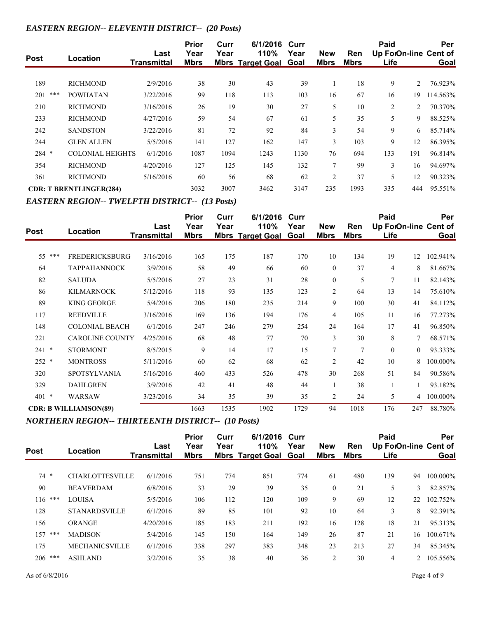## *EASTERN REGION-- ELEVENTH DISTRICT-- (20 Posts)*

| <b>Post</b> | Location                       | Last<br><b>Transmittal</b> | <b>Prior</b><br>Year<br><b>Mbrs</b> | Curr<br>Year | 6/1/2016 Curr<br>110%<br><b>Mbrs Target Goal Goal</b> | Year | <b>New</b><br><b>Mbrs</b> | <b>Ren</b><br><b>Mbrs</b> | Paid<br>Up ForOn-line Cent of<br><u>Life</u> |     | Per<br>Goal |
|-------------|--------------------------------|----------------------------|-------------------------------------|--------------|-------------------------------------------------------|------|---------------------------|---------------------------|----------------------------------------------|-----|-------------|
|             |                                |                            |                                     |              |                                                       |      |                           |                           |                                              |     |             |
| 189         | <b>RICHMOND</b>                | 2/9/2016                   | 38                                  | 30           | 43                                                    | 39   |                           | 18                        | 9                                            | 2   | 76.923%     |
| 201<br>***  | <b>POWHATAN</b>                | 3/22/2016                  | 99                                  | 118          | 113                                                   | 103  | 16                        | 67                        | 16                                           | 19  | 114.563%    |
| 210         | <b>RICHMOND</b>                | 3/16/2016                  | 26                                  | 19           | 30                                                    | 27   | 5                         | 10                        | 2                                            | 2   | 70.370%     |
| 233         | <b>RICHMOND</b>                | 4/27/2016                  | 59                                  | 54           | 67                                                    | 61   | 5                         | 35                        | 5                                            | 9   | 88.525%     |
| 242         | <b>SANDSTON</b>                | 3/22/2016                  | 81                                  | 72           | 92                                                    | 84   | 3                         | 54                        | 9                                            | 6   | 85.714%     |
| 244         | <b>GLEN ALLEN</b>              | 5/5/2016                   | 141                                 | 127          | 162                                                   | 147  | 3                         | 103                       | 9                                            | 12  | 86.395%     |
| $284$ *     | <b>COLONIAL HEIGHTS</b>        | 6/1/2016                   | 1087                                | 1094         | 1243                                                  | 1130 | 76                        | 694                       | 133                                          | 191 | 96.814%     |
| 354         | <b>RICHMOND</b>                | 4/20/2016                  | 127                                 | 125          | 145                                                   | 132  | 7                         | 99                        | 3                                            | 16  | 94.697%     |
| 361         | <b>RICHMOND</b>                | 5/16/2016                  | 60                                  | 56           | 68                                                    | 62   | $\overline{2}$            | 37                        | 5                                            | 12  | 90.323%     |
|             | <b>CDR: T BRENTLINGER(284)</b> |                            | 3032                                | 3007         | 3462                                                  | 3147 | 235                       | 1993                      | 335                                          | 444 | 95.551%     |

*EASTERN REGION-- TWELFTH DISTRICT-- (13 Posts)*

| <b>Post</b>   | Location                     | Last               | Prior<br>Year | Curr<br>Year | 6/1/2016<br>110%        | Curr<br>Year | <b>New</b>     | Ren         | Paid         |                | Per<br>Up ForOn-line Cent of |
|---------------|------------------------------|--------------------|---------------|--------------|-------------------------|--------------|----------------|-------------|--------------|----------------|------------------------------|
|               |                              | <b>Transmittal</b> | <b>Mbrs</b>   |              | <b>Mbrs Target Goal</b> | Goal         | <b>Mbrs</b>    | <b>Mbrs</b> | Life         |                | Goal                         |
| 55 ***        | <b>FREDERICKSBURG</b>        | 3/16/2016          | 165           | 175          | 187                     | 170          | 10             | 134         | 19           | 12             | 102.941%                     |
| 64            | <b>TAPPAHANNOCK</b>          | 3/9/2016           | 58            | 49           | 66                      | 60           | $\theta$       | 37          | 4            | 8              | 81.667%                      |
| 82            | <b>SALUDA</b>                | 5/5/2016           | 27            | 23           | 31                      | 28           | $\mathbf{0}$   | 5           | 7            | 11             | 82.143%                      |
| 86            | <b>KILMARNOCK</b>            | 5/12/2016          | 118           | 93           | 135                     | 123          | $\overline{2}$ | 64          | 13           | 14             | 75.610%                      |
| 89            | <b>KING GEORGE</b>           | 5/4/2016           | 206           | 180          | 235                     | 214          | 9              | 100         | 30           | 41             | 84.112%                      |
| 117           | <b>REEDVILLE</b>             | 3/16/2016          | 169           | 136          | 194                     | 176          | $\overline{4}$ | 105         | 11           | 16             | 77.273%                      |
| 148           | <b>COLONIAL BEACH</b>        | 6/1/2016           | 247           | 246          | 279                     | 254          | 24             | 164         | 17           | 41             | 96.850%                      |
| 221           | <b>CAROLINE COUNTY</b>       | 4/25/2016          | 68            | 48           | 77                      | 70           | 3              | 30          | 8            | 7              | 68.571%                      |
| $\ast$<br>241 | <b>STORMONT</b>              | 8/5/2015           | 9             | 14           | 17                      | 15           | 7              | 7           | $\mathbf{0}$ | $\overline{0}$ | 93.333%                      |
| $252 *$       | <b>MONTROSS</b>              | 5/11/2016          | 60            | 62           | 68                      | 62           | $\overline{2}$ | 42          | 10           | 8              | 100.000%                     |
| 320           | <b>SPOTSYLVANIA</b>          | 5/16/2016          | 460           | 433          | 526                     | 478          | 30             | 268         | 51           | 84             | 90.586%                      |
| 329           | <b>DAHLGREN</b>              | 3/9/2016           | 42            | 41           | 48                      | 44           |                | 38          |              |                | 93.182%                      |
| *<br>401      | WARSAW                       | 3/23/2016          | 34            | 35           | 39                      | 35           | $\overline{2}$ | 24          | 5            | 4              | 100.000%                     |
|               | <b>CDR: B WILLIAMSON(89)</b> |                    | 1663          | 1535         | 1902                    | 1729         | 94             | 1018        | 176          | 247            | 88.780%                      |

*NORTHERN REGION-- THIRTEENTH DISTRICT-- (10 Posts)*

| <b>Post</b> | Location               | Last<br><b>Transmittal</b> | <b>Prior</b><br>Year<br><b>Mbrs</b> | Curr<br>Year | 6/1/2016 Curr<br>110%<br><b>Mbrs Target Goal Goal</b> | Year | <b>New</b><br><b>Mbrs</b> | Ren<br>Mbrs | Paid<br>Up ForOn-line Cent of<br>Life |    | Per<br>Goal |
|-------------|------------------------|----------------------------|-------------------------------------|--------------|-------------------------------------------------------|------|---------------------------|-------------|---------------------------------------|----|-------------|
|             |                        |                            |                                     |              |                                                       |      |                           |             |                                       |    |             |
| $74*$       | <b>CHARLOTTESVILLE</b> | 6/1/2016                   | 751                                 | 774          | 851                                                   | 774  | 61                        | 480         | 139                                   | 94 | 100.000%    |
| 90          | <b>BEAVERDAM</b>       | 6/8/2016                   | 33                                  | 29           | 39                                                    | 35   | $\mathbf{0}$              | 21          | 5                                     | 3  | 82.857%     |
| $116$ ***   | <b>LOUISA</b>          | 5/5/2016                   | 106                                 | 112          | 120                                                   | 109  | 9                         | 69          | 12                                    | 22 | 102.752%    |
| 128         | <b>STANARDSVILLE</b>   | 6/1/2016                   | 89                                  | 85           | 101                                                   | 92   | 10                        | 64          | 3                                     | 8  | 92.391%     |
| 156         | <b>ORANGE</b>          | 4/20/2016                  | 185                                 | 183          | 211                                                   | 192  | 16                        | 128         | 18                                    | 21 | 95.313%     |
| ***<br>157  | <b>MADISON</b>         | 5/4/2016                   | 145                                 | 150          | 164                                                   | 149  | 26                        | 87          | 21                                    | 16 | 100.671%    |
| 175         | <b>MECHANICSVILLE</b>  | 6/1/2016                   | 338                                 | 297          | 383                                                   | 348  | 23                        | 213         | 27                                    | 34 | 85.345%     |
| $206$ ***   | <b>ASHLAND</b>         | 3/2/2016                   | 35                                  | 38           | 40                                                    | 36   | 2                         | 30          | 4                                     |    | 105.556%    |
|             |                        |                            |                                     |              |                                                       |      |                           |             |                                       |    |             |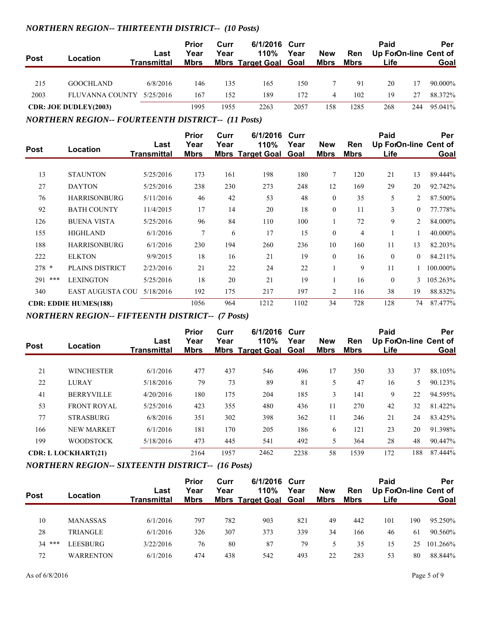## *NORTHERN REGION-- THIRTEENTH DISTRICT-- (10 Posts)*

| <b>Post</b> | Location                     | Last<br><b>Transmittal</b> | <b>Prior</b><br>Year<br><b>Mbrs</b> | Curr<br>Year | 6/1/2016 Curr<br>110%<br><b>Mbrs Target Goal Goal</b> | Year | <b>New</b><br><u>Mbrs</u> | <b>Ren</b><br>Mbrs | Paid<br>Up ForOn-line Cent of<br>Life |     | Per<br>Goal |
|-------------|------------------------------|----------------------------|-------------------------------------|--------------|-------------------------------------------------------|------|---------------------------|--------------------|---------------------------------------|-----|-------------|
| 215         | <b>GOOCHLAND</b>             | 6/8/2016                   | 146                                 | 135          | 165                                                   | 150  |                           | 91                 | 20                                    | 17  | 90.000%     |
| 2003        | FLUVANNA COUNTY 5/25/2016    |                            | 167                                 | 152          | 189                                                   | 172  | 4                         | 102                | 19                                    | 27  | 88.372%     |
|             | <b>CDR: JOE DUDLEY(2003)</b> |                            | 1995                                | 1955         | 2263                                                  | 2057 | 158                       | 1285               | 268                                   | 244 | 95.041%     |

*NORTHERN REGION-- FOURTEENTH DISTRICT-- (11 Posts)*

|             |                              | Last        | <b>Prior</b><br>Year | Curr<br>Year | 6/1/2016<br>110%        | Curr<br>Year | <b>New</b>   | <b>Ren</b>  | Paid         |                | Per<br>Up ForOn-line Cent of |
|-------------|------------------------------|-------------|----------------------|--------------|-------------------------|--------------|--------------|-------------|--------------|----------------|------------------------------|
| <b>Post</b> | Location                     | Transmittal | <b>Mbrs</b>          |              | <b>Mbrs Target Goal</b> | Goal         | <b>Mbrs</b>  | <b>Mbrs</b> | Life         |                | Goal                         |
| 13          | <b>STAUNTON</b>              | 5/25/2016   | 173                  | 161          | 198                     | 180          | 7            | 120         | 21           | 13             | 89.444%                      |
| 27          | <b>DAYTON</b>                | 5/25/2016   | 238                  | 230          | 273                     | 248          | 12           | 169         | 29           | 20             | 92.742%                      |
| 76          | <b>HARRISONBURG</b>          | 5/11/2016   | 46                   | 42           | 53                      | 48           | $\theta$     | 35          | 5            | 2              | 87.500%                      |
| 92          | <b>BATH COUNTY</b>           | 11/4/2015   | 17                   | 14           | 20                      | 18           | $\mathbf{0}$ | 11          | 3            | $\overline{0}$ | 77.778%                      |
| 126         | <b>BUENA VISTA</b>           | 5/25/2016   | 96                   | 84           | 110                     | 100          |              | 72          | 9            | 2              | 84.000%                      |
| 155         | <b>HIGHLAND</b>              | 6/1/2016    | $\overline{7}$       | 6            | 17                      | 15           | $\mathbf{0}$ | 4           |              |                | 40.000%                      |
| 188         | <b>HARRISONBURG</b>          | 6/1/2016    | 230                  | 194          | 260                     | 236          | 10           | 160         | 11           | 13             | 82.203%                      |
| 222         | <b>ELKTON</b>                | 9/9/2015    | 18                   | 16           | 21                      | 19           | $\mathbf{0}$ | 16          | $\mathbf{0}$ | $\overline{0}$ | 84.211%                      |
| $278 *$     | PLAINS DISTRICT              | 2/23/2016   | 21                   | 22           | 24                      | 22           |              | 9           | 11           |                | 100.000%                     |
| ***<br>291  | <b>LEXINGTON</b>             | 5/25/2016   | 18                   | 20           | 21                      | 19           |              | 16          | $\theta$     | 3              | 105.263%                     |
| 340         | <b>EAST AUGUSTA COU</b>      | 5/18/2016   | 192                  | 175          | 217                     | 197          | 2            | 116         | 38           | 19             | 88.832%                      |
|             | <b>CDR: EDDIE HUMES(188)</b> |             | 1056                 | 964          | 1212                    | 1102         | 34           | 728         | 128          | 74             | 87.477%                      |

*NORTHERN REGION-- FIFTEENTH DISTRICT-- (7 Posts)*

|             |                            |                            | <b>Prior</b><br>Year | Curr<br>Year | 6/1/2016 Curr                        |      |                           |                    | Paid                          |     | Per     |
|-------------|----------------------------|----------------------------|----------------------|--------------|--------------------------------------|------|---------------------------|--------------------|-------------------------------|-----|---------|
| <b>Post</b> | Location                   | Last<br><b>Transmittal</b> | <b>Mbrs</b>          |              | 110%<br><b>Mbrs Target Goal Goal</b> | Year | <b>New</b><br><b>Mbrs</b> | Ren<br><b>Mbrs</b> | Up ForOn-line Cent of<br>Life |     | Goal    |
|             |                            |                            |                      |              |                                      |      |                           |                    |                               |     |         |
| 21          | <b>WINCHESTER</b>          | 6/1/2016                   | 477                  | 437          | 546                                  | 496  | 17                        | 350                | 33                            | 37  | 88.105% |
| 22          | <b>LURAY</b>               | 5/18/2016                  | 79                   | 73           | 89                                   | 81   | 5                         | 47                 | 16                            | 5.  | 90.123% |
| 41          | <b>BERRYVILLE</b>          | 4/20/2016                  | 180                  | 175          | 204                                  | 185  | 3                         | 141                | 9                             | 22  | 94.595% |
| 53          | <b>FRONT ROYAL</b>         | 5/25/2016                  | 423                  | 355          | 480                                  | 436  | 11                        | 270                | 42                            | 32  | 81.422% |
| 77          | <b>STRASBURG</b>           | 6/8/2016                   | 351                  | 302          | 398                                  | 362  | 11                        | 246                | 21                            | 24  | 83.425% |
| 166         | <b>NEW MARKET</b>          | 6/1/2016                   | 181                  | 170          | 205                                  | 186  | 6                         | 121                | 23                            | 20  | 91.398% |
| 199         | <b>WOODSTOCK</b>           | 5/18/2016                  | 473                  | 445          | 541                                  | 492  | 5                         | 364                | 28                            | 48  | 90.447% |
|             | <b>CDR: L LOCKHART(21)</b> |                            | 2164                 | 1957         | 2462                                 | 2238 | 58                        | 1539               | 172                           | 188 | 87.444% |

## *NORTHERN REGION-- SIXTEENTH DISTRICT-- (16 Posts)*

| <b>Post</b> | Location         | Last<br>Transmittal | <b>Prior</b><br>Year<br><b>Mbrs</b> | Curr<br>Year | 6/1/2016 Curr<br>110%<br><b>Mbrs Target Goal Goal</b> | Year | <b>New</b><br><u>Mbrs</u> | Ren<br><u>Mbrs</u> | Paid<br>Up ForOn-line Cent of<br>Life |     | Per<br>Goal |
|-------------|------------------|---------------------|-------------------------------------|--------------|-------------------------------------------------------|------|---------------------------|--------------------|---------------------------------------|-----|-------------|
|             |                  |                     |                                     |              |                                                       |      |                           |                    |                                       |     |             |
| 10          | <b>MANASSAS</b>  | 6/1/2016            | 797                                 | 782          | 903                                                   | 821  | 49                        | 442                | 101                                   | 190 | 95.250%     |
| 28          | TRIANGLE         | 6/1/2016            | 326                                 | 307          | 373                                                   | 339  | 34                        | 166                | 46                                    | 61  | 90.560%     |
| $34***$     | LEESBURG         | 3/22/2016           | 76                                  | 80           | 87                                                    | 79   |                           | 35                 | 15                                    | 25  | 101.266%    |
| 72          | <b>WARRENTON</b> | 6/1/2016            | 474                                 | 438          | 542                                                   | 493  | 22                        | 283                | 53                                    | 80  | 88.844%     |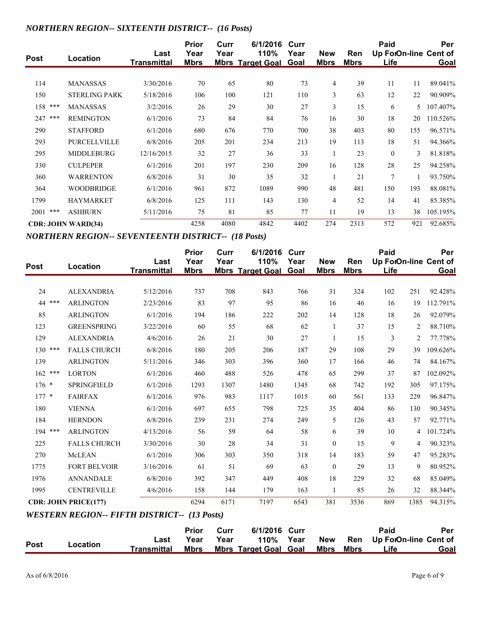## *NORTHERN REGION-- SIXTEENTH DISTRICT-- (16 Posts)*

| <b>Post</b> | Location                  | Last<br><b>Transmittal</b> | <b>Prior</b><br>Year<br><u>Mbrs</u> | Curr<br>Year | 6/1/2016<br>110%<br><b>Mbrs Target Goal</b> | Curr<br>Year<br><b>Goal</b> | <b>New</b><br><u>Mbrs</u> | Ren<br><b>Mbrs</b> | Paid<br>Up ForOn-line Cent of<br><b>Life</b> |     | Per<br>Goal |
|-------------|---------------------------|----------------------------|-------------------------------------|--------------|---------------------------------------------|-----------------------------|---------------------------|--------------------|----------------------------------------------|-----|-------------|
|             |                           |                            |                                     |              |                                             |                             |                           |                    |                                              |     |             |
| 114         | <b>MANASSAS</b>           | 3/30/2016                  | 70                                  | 65           | 80                                          | 73                          | $\overline{4}$            | 39                 | 11                                           | 11  | 89.041%     |
| 150         | <b>STERLING PARK</b>      | 5/18/2016                  | 106                                 | 100          | 121                                         | 110                         | 3                         | 63                 | 12                                           | 22  | 90.909%     |
| 158 ***     | <b>MANASSAS</b>           | 3/2/2016                   | 26                                  | 29           | 30                                          | 27                          | 3                         | 15                 | 6                                            | 5.  | 107.407%    |
| 247 ***     | <b>REMINGTON</b>          | 6/1/2016                   | 73                                  | 84           | 84                                          | 76                          | 16                        | 30                 | 18                                           | 20  | 110.526%    |
| 290         | <b>STAFFORD</b>           | 6/1/2016                   | 680                                 | 676          | 770                                         | 700                         | 38                        | 403                | 80                                           | 155 | 96.571%     |
| 293         | <b>PURCELLVILLE</b>       | 6/8/2016                   | 205                                 | 201          | 234                                         | 213                         | 19                        | 113                | 18                                           | 51  | 94.366%     |
| 295         | <b>MIDDLEBURG</b>         | 12/16/2015                 | 32                                  | 27           | 36                                          | 33                          | -1                        | 23                 | $\mathbf{0}$                                 | 3   | 81.818%     |
| 330         | <b>CULPEPER</b>           | 6/1/2016                   | 201                                 | 197          | 230                                         | 209                         | 16                        | 128                | 28                                           | 25  | 94.258%     |
| 360         | <b>WARRENTON</b>          | 6/8/2016                   | 31                                  | 30           | 35                                          | 32                          |                           | 21                 | $\overline{7}$                               |     | 93.750%     |
| 364         | <b>WOODBRIDGE</b>         | 6/1/2016                   | 961                                 | 872          | 1089                                        | 990                         | 48                        | 481                | 150                                          | 193 | 88.081%     |
| 1799        | <b>HAYMARKET</b>          | 6/8/2016                   | 125                                 | 111          | 143                                         | 130                         | $\overline{4}$            | 52                 | 14                                           | 41  | 85.385%     |
| $2001$ ***  | <b>ASHBURN</b>            | 5/11/2016                  | 75                                  | 81           | 85                                          | 77                          | 11                        | 19                 | 13                                           | 38  | 105.195%    |
|             | <b>CDR: JOHN WARD(34)</b> |                            | 4258                                | 4080         | 4842                                        | 4402                        | 274                       | 2313               | 572                                          | 921 | 92.685%     |

*NORTHERN REGION-- SEVENTEENTH DISTRICT-- (18 Posts)*

| <b>Post</b> | Location                                            | Last               | <b>Prior</b><br>Year | Curr<br>Year | 6/1/2016<br>110%             | Curr<br>Year | <b>New</b>   | Ren         | Paid |                | Per<br>Up ForOn-line Cent of |
|-------------|-----------------------------------------------------|--------------------|----------------------|--------------|------------------------------|--------------|--------------|-------------|------|----------------|------------------------------|
|             |                                                     | <b>Transmittal</b> | <b>Mbrs</b>          |              | <b>Mbrs Target Goal Goal</b> |              | <b>Mbrs</b>  | <b>Mbrs</b> | Life |                | Goal                         |
| 24          | <b>ALEXANDRIA</b>                                   | 5/12/2016          | 737                  | 708          | 843                          | 766          | 31           | 324         | 102  | 251            | 92.428%                      |
| 44 ***      | <b>ARLINGTON</b>                                    | 2/23/2016          | 83                   | 97           | 95                           | 86           | 16           | 46          | 16   | 19             | 112.791%                     |
| 85          | <b>ARLINGTON</b>                                    | 6/1/2016           | 194                  | 186          | 222                          | 202          | 14           | 128         | 18   | 26             | 92.079%                      |
| 123         | <b>GREENSPRING</b>                                  | 3/22/2016          | 60                   | 55           | 68                           | 62           | $\mathbf{1}$ | 37          | 15   | 2              | 88.710%                      |
| 129         | <b>ALEXANDRIA</b>                                   | 4/6/2016           | 26                   | 21           | 30                           | 27           | $\mathbf{1}$ | 15          | 3    | $\overline{c}$ | 77.778%                      |
| 130<br>***  | <b>FALLS CHURCH</b>                                 | 6/8/2016           | 180                  | 205          | 206                          | 187          | 29           | 108         | 29   | 39             | 109.626%                     |
| 139         | <b>ARLINGTON</b>                                    | 5/11/2016          | 346                  | 303          | 396                          | 360          | 17           | 166         | 46   | 74             | 84.167%                      |
| $162$ ***   | <b>LORTON</b>                                       | 6/1/2016           | 460                  | 488          | 526                          | 478          | 65           | 299         | 37   | 87             | 102.092%                     |
| $176 *$     | SPRINGFIELD                                         | 6/1/2016           | 1293                 | 1307         | 1480                         | 1345         | 68           | 742         | 192  | 305            | 97.175%                      |
| $177 *$     | <b>FAIRFAX</b>                                      | 6/1/2016           | 976                  | 983          | 1117                         | 1015         | 60           | 561         | 133  | 229            | 96.847%                      |
| 180         | <b>VIENNA</b>                                       | 6/1/2016           | 697                  | 655          | 798                          | 725          | 35           | 404         | 86   | 130            | 90.345%                      |
| 184         | <b>HERNDON</b>                                      | 6/8/2016           | 239                  | 231          | 274                          | 249          | 5            | 126         | 43   | 57             | 92.771%                      |
| 194 ***     | <b>ARLINGTON</b>                                    | 4/13/2016          | 56                   | 59           | 64                           | 58           | 6            | 39          | 10   | 4              | 101.724%                     |
| 225         | <b>FALLS CHURCH</b>                                 | 3/30/2016          | 30                   | 28           | 34                           | 31           | $\mathbf{0}$ | 15          | 9    | 4              | 90.323%                      |
| 270         | McLEAN                                              | 6/1/2016           | 306                  | 303          | 350                          | 318          | 14           | 183         | 59   | 47             | 95.283%                      |
| 1775        | <b>FORT BELVOIR</b>                                 | 3/16/2016          | 61                   | 51           | 69                           | 63           | $\mathbf{0}$ | 29          | 13   | 9              | 80.952%                      |
| 1976        | <b>ANNANDALE</b>                                    | 6/8/2016           | 392                  | 347          | 449                          | 408          | 18           | 229         | 32   | 68             | 85.049%                      |
| 1995        | <b>CENTREVILLE</b>                                  | 4/6/2016           | 158                  | 144          | 179                          | 163          | $\mathbf{1}$ | 85          | 26   | 32             | 88.344%                      |
|             | <b>CDR: JOHN PRICE(177)</b>                         |                    | 6294                 | 6171         | 7197                         | 6543         | 381          | 3536        | 869  | 1385           | 94.315%                      |
|             | <b>WESTERN REGION-- FIFTH DISTRICT-- (13 Posts)</b> |                    |                      |              |                              |              |              |             |      |                |                              |
|             |                                                     |                    | <b>Prior</b>         | Curr         | 6/1/2016                     | Curr         |              |             | Paid |                | Per                          |
| <b>Post</b> | Location                                            | Last               | Year                 | Year         | 110%                         | Year         | <b>New</b>   | Ren         |      |                | Up ForOn-line Cent of        |
|             |                                                     | <b>Transmittal</b> | <b>Mbrs</b>          |              | <b>Mbrs Target Goal Goal</b> |              | <b>Mbrs</b>  | <b>Mbrs</b> | Life |                | Goal                         |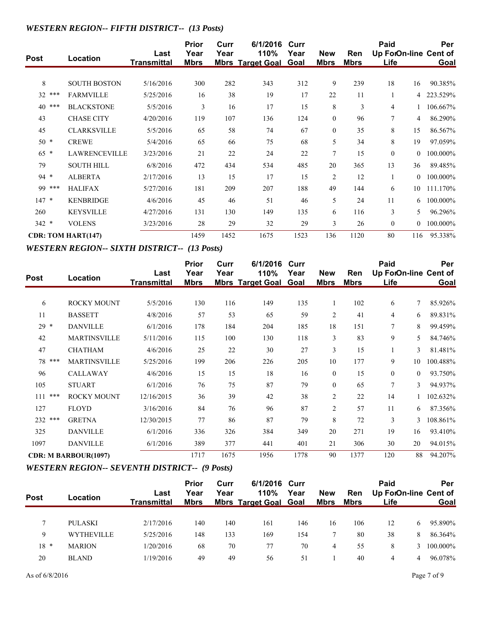# *WESTERN REGION-- FIFTH DISTRICT-- (13 Posts)*

| Post      | Location                  | Last<br><b>Transmittal</b> | <b>Prior</b><br>Year<br><b>Mbrs</b> | Curr<br>Year | 6/1/2016<br>110%<br><b>Mbrs Target Goal Goal</b> | Curr<br>Year | <b>New</b><br><b>Mbrs</b> | <b>Ren</b><br><b>Mbrs</b> | Paid<br>Up ForOn-line Cent of<br><b>Life</b> |                | Per<br>Goal |
|-----------|---------------------------|----------------------------|-------------------------------------|--------------|--------------------------------------------------|--------------|---------------------------|---------------------------|----------------------------------------------|----------------|-------------|
|           |                           |                            |                                     |              |                                                  |              |                           |                           |                                              |                |             |
| 8         | <b>SOUTH BOSTON</b>       | 5/16/2016                  | 300                                 | 282          | 343                                              | 312          | 9                         | 239                       | 18                                           | 16             | 90.385%     |
| 32<br>*** | <b>FARMVILLE</b>          | 5/25/2016                  | 16                                  | 38           | 19                                               | 17           | 22                        | 11                        |                                              | 4              | 223.529%    |
| 40<br>*** | <b>BLACKSTONE</b>         | 5/5/2016                   | 3                                   | 16           | 17                                               | 15           | 8                         | 3                         | 4                                            |                | 106.667%    |
| 43        | <b>CHASE CITY</b>         | 4/20/2016                  | 119                                 | 107          | 136                                              | 124          | $\mathbf{0}$              | 96                        | 7                                            | 4              | 86.290%     |
| 45        | <b>CLARKSVILLE</b>        | 5/5/2016                   | 65                                  | 58           | 74                                               | 67           | $\theta$                  | 35                        | 8                                            | 15             | 86.567%     |
| $50*$     | <b>CREWE</b>              | 5/4/2016                   | 65                                  | 66           | 75                                               | 68           | 5                         | 34                        | 8                                            | 19             | 97.059%     |
| $65 *$    | <b>LAWRENCEVILLE</b>      | 3/23/2016                  | 21                                  | 22           | 24                                               | 22           | $\tau$                    | 15                        | $\overline{0}$                               | $\theta$       | 100.000%    |
| 79        | <b>SOUTH HILL</b>         | 6/8/2016                   | 472                                 | 434          | 534                                              | 485          | 20                        | 365                       | 13                                           | 36             | 89.485%     |
| $94 *$    | <b>ALBERTA</b>            | 2/17/2016                  | 13                                  | 15           | 17                                               | 15           | 2                         | 12                        | 1                                            | $\Omega$       | 100.000%    |
| 99 ***    | <b>HALIFAX</b>            | 5/27/2016                  | 181                                 | 209          | 207                                              | 188          | 49                        | 144                       | 6                                            | 10             | 111.170%    |
| $147 *$   | <b>KENBRIDGE</b>          | 4/6/2016                   | 45                                  | 46           | 51                                               | 46           | 5                         | 24                        | 11                                           | 6              | 100.000%    |
| 260       | <b>KEYSVILLE</b>          | 4/27/2016                  | 131                                 | 130          | 149                                              | 135          | 6                         | 116                       | 3                                            | 5              | 96.296%     |
| $342 *$   | <b>VOLENS</b>             | 3/23/2016                  | 28                                  | 29           | 32                                               | 29           | $\mathfrak{Z}$            | 26                        | $\bf{0}$                                     | $\overline{0}$ | 100.000%    |
|           | <b>CDR: TOM HART(147)</b> |                            | 1459                                | 1452         | 1675                                             | 1523         | 136                       | 1120                      | 80                                           | 116            | 95.338%     |

## *WESTERN REGION-- SIXTH DISTRICT-- (13 Posts)*

| <b>Post</b> | Location                    | Last<br><b>Transmittal</b> | <b>Prior</b><br>Year<br><u>Mbrs</u> | Curr<br>Year | 6/1/2016<br>110%<br><b>Mbrs Target Goal</b> | Curr<br>Year<br><b>Goal</b> | <b>New</b><br><b>Mbrs</b> | Ren<br><b>Mbrs</b> | Paid<br>Up ForOn-line Cent of<br><u>Life</u> |          | Per<br>Goal |
|-------------|-----------------------------|----------------------------|-------------------------------------|--------------|---------------------------------------------|-----------------------------|---------------------------|--------------------|----------------------------------------------|----------|-------------|
| 6           | <b>ROCKY MOUNT</b>          | 5/5/2016                   | 130                                 | 116          | 149                                         | 135                         | 1                         | 102                | 6                                            | $\tau$   | 85.926%     |
| 11          | <b>BASSETT</b>              | 4/8/2016                   | 57                                  | 53           | 65                                          | 59                          | $\overline{2}$            | 41                 | 4                                            | 6        | 89.831%     |
| $29 *$      | <b>DANVILLE</b>             | 6/1/2016                   | 178                                 | 184          | 204                                         | 185                         | 18                        | 151                | 7                                            | 8        | 99.459%     |
| 42          | <b>MARTINSVILLE</b>         | 5/11/2016                  | 115                                 | 100          | 130                                         | 118                         | 3                         | 83                 | 9                                            | 5        | 84.746%     |
| 47          | <b>CHATHAM</b>              | 4/6/2016                   | 25                                  | 22           | 30                                          | 27                          | 3                         | 15                 |                                              | 3        | 81.481%     |
| 78 ***      | <b>MARTINSVILLE</b>         | 5/25/2016                  | 199                                 | 206          | 226                                         | 205                         | 10                        | 177                | 9                                            | 10       | 100.488%    |
| 96          | <b>CALLAWAY</b>             | 4/6/2016                   | 15                                  | 15           | 18                                          | 16                          | $\theta$                  | 15                 | $\theta$                                     | $\theta$ | 93.750%     |
| 105         | <b>STUART</b>               | 6/1/2016                   | 76                                  | 75           | 87                                          | 79                          | $\theta$                  | 65                 | 7                                            | 3        | 94.937%     |
| 111<br>***  | <b>ROCKY MOUNT</b>          | 12/16/2015                 | 36                                  | 39           | 42                                          | 38                          | $\overline{2}$            | 22                 | 14                                           |          | 102.632%    |
| 127         | <b>FLOYD</b>                | 3/16/2016                  | 84                                  | 76           | 96                                          | 87                          | $\overline{2}$            | 57                 | 11                                           | 6        | 87.356%     |
| 232 ***     | <b>GRETNA</b>               | 12/30/2015                 | 77                                  | 86           | 87                                          | 79                          | 8                         | 72                 | 3                                            | 3        | 108.861%    |
| 325         | <b>DANVILLE</b>             | 6/1/2016                   | 336                                 | 326          | 384                                         | 349                         | 20                        | 271                | 19                                           | 16       | 93.410%     |
| 1097        | <b>DANVILLE</b>             | 6/1/2016                   | 389                                 | 377          | 441                                         | 401                         | 21                        | 306                | 30                                           | 20       | 94.015%     |
|             | <b>CDR: M BARBOUR(1097)</b> |                            | 1717                                | 1675         | 1956                                        | 1778                        | 90                        | 1377               | 120                                          | 88       | 94.207%     |

# *WESTERN REGION-- SEVENTH DISTRICT-- (9 Posts)*

| <b>Post</b> | Location          | Last<br><b>Transmittal</b> | <b>Prior</b><br>Year<br><b>Mbrs</b> | Curr<br>Year | 6/1/2016 Curr<br>110%<br><b>Mbrs Target Goal Goal</b> | Year | <b>New</b><br><b>Mbrs</b> | Ren<br>Mbrs | Paid<br>Up ForOn-line Cent of<br>Life |    | Per<br>Goal |
|-------------|-------------------|----------------------------|-------------------------------------|--------------|-------------------------------------------------------|------|---------------------------|-------------|---------------------------------------|----|-------------|
|             |                   |                            |                                     |              |                                                       |      |                           |             |                                       |    |             |
|             | PULASKI           | 2/17/2016                  | 140                                 | 140          | 161                                                   | 146  | 16                        | 106         | 12                                    | 6. | 95.890%     |
| 9           | <b>WYTHEVILLE</b> | 5/25/2016                  | 148                                 | 133          | 169                                                   | 154  |                           | 80          | 38                                    | 8  | 86.364%     |
| $18 *$      | <b>MARION</b>     | 1/20/2016                  | 68                                  | 70           | 77                                                    | 70   | 4                         | 55          | 8                                     | 3  | 100.000%    |
| 20          | <b>BLAND</b>      | 1/19/2016                  | 49                                  | 49           | 56                                                    | 51   |                           | 40          | 4                                     | 4  | 96.078%     |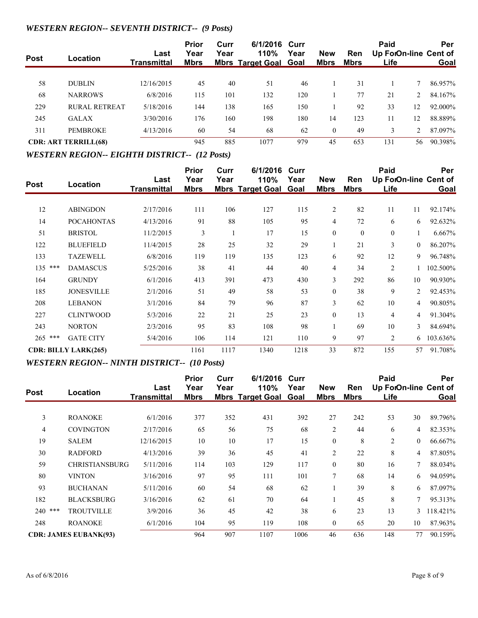## *WESTERN REGION-- SEVENTH DISTRICT-- (9 Posts)*

| <b>Post</b> | Location                    | Last        | <b>Prior</b><br>Year | Curr<br>Year | 6/1/2016 Curr<br>110%        | Year | <b>New</b>  | <b>Ren</b>  | Paid<br>Up ForOn-line Cent of |                | Per         |
|-------------|-----------------------------|-------------|----------------------|--------------|------------------------------|------|-------------|-------------|-------------------------------|----------------|-------------|
|             |                             | Transmittal | <u>Mbrs</u>          |              | <b>Mbrs Target Goal Goal</b> |      | <u>Mbrs</u> | <u>Mbrs</u> | <u>Life</u>                   |                | <b>Goal</b> |
| 58          | <b>DUBLIN</b>               | 12/16/2015  | 45                   | 40           | 51                           | 46   |             | 31          |                               |                | 86.957%     |
| 68          | <b>NARROWS</b>              | 6/8/2016    | 115                  | 101          | 132                          | 120  |             | 77          | 21                            | $\overline{2}$ | 84.167%     |
| 229         | RURAL RETREAT               | 5/18/2016   | 144                  | 138          | 165                          | 150  |             | 92          | 33                            | 12             | 92.000%     |
| 245         | <b>GALAX</b>                | 3/30/2016   | 176                  | 160          | 198                          | 180  | 14          | 123         | 11                            | 12             | 88.889%     |
| 311         | <b>PEMBROKE</b>             | 4/13/2016   | 60                   | 54           | 68                           | 62   | $\theta$    | 49          | 3                             |                | 87.097%     |
|             | <b>CDR: ART TERRILL(68)</b> |             | 945                  | 885          | 1077                         | 979  | 45          | 653         | 131                           | 56             | 90.398%     |

#### *WESTERN REGION-- EIGHTH DISTRICT-- (12 Posts)*

| Post      | Location                    | Last               | Prior<br>Year | Curr<br>Year | 6/1/2016<br>110%        | Curr<br>Year | <b>New</b>     | <b>Ren</b>   | Paid<br>Up ForOn-line Cent of |                | Per      |
|-----------|-----------------------------|--------------------|---------------|--------------|-------------------------|--------------|----------------|--------------|-------------------------------|----------------|----------|
|           |                             | <b>Transmittal</b> | <b>Mbrs</b>   |              | <b>Mbrs Target Goal</b> | Goal         | <b>Mbrs</b>    | <b>Mbrs</b>  | Life                          |                | Goal     |
| 12        | <b>ABINGDON</b>             | 2/17/2016          | 111           | 106          | 127                     | 115          | $\overline{2}$ | 82           | 11                            | 11             | 92.174%  |
| 14        | <b>POCAHONTAS</b>           | 4/13/2016          | 91            | 88           | 105                     | 95           | $\overline{4}$ | 72           | 6                             | 6              | 92.632%  |
| 51        | <b>BRISTOL</b>              | 11/2/2015          | 3             |              | 17                      | 15           | $\mathbf{0}$   | $\mathbf{0}$ | $\overline{0}$                | 1              | 6.667%   |
| 122       | <b>BLUEFIELD</b>            | 11/4/2015          | 28            | 25           | 32                      | 29           |                | 21           | 3                             | $\overline{0}$ | 86.207%  |
| 133       | <b>TAZEWELL</b>             | 6/8/2016           | 119           | 119          | 135                     | 123          | 6              | 92           | 12                            | 9              | 96.748%  |
| $135$ *** | <b>DAMASCUS</b>             | 5/25/2016          | 38            | 41           | 44                      | 40           | $\overline{4}$ | 34           | $\overline{2}$                |                | 102.500% |
| 164       | <b>GRUNDY</b>               | 6/1/2016           | 413           | 391          | 473                     | 430          | 3              | 292          | 86                            | 10             | 90.930%  |
| 185       | <b>JONESVILLE</b>           | 2/1/2016           | 51            | 49           | 58                      | 53           | $\mathbf{0}$   | 38           | 9                             | $\overline{2}$ | 92.453%  |
| 208       | <b>LEBANON</b>              | 3/1/2016           | 84            | 79           | 96                      | 87           | 3              | 62           | 10                            | 4              | 90.805%  |
| 227       | <b>CLINTWOOD</b>            | 5/3/2016           | 22            | 21           | 25                      | 23           | $\theta$       | 13           | 4                             | 4              | 91.304%  |
| 243       | <b>NORTON</b>               | 2/3/2016           | 95            | 83           | 108                     | 98           |                | 69           | 10                            | 3              | 84.694%  |
| $265$ *** | <b>GATE CITY</b>            | 5/4/2016           | 106           | 114          | 121                     | 110          | 9              | 97           | $\overline{2}$                | 6              | 103.636% |
|           | <b>CDR: BILLY LARK(265)</b> |                    | 1161          | 1117         | 1340                    | 1218         | 33             | 872          | 155                           | 57             | 91.708%  |

## *WESTERN REGION-- NINTH DISTRICT-- (10 Posts)*

|             |                              |                    | <b>Prior</b> | Curr | 6/1/2016                     | Curr |                |             | Paid                  |                | Per      |
|-------------|------------------------------|--------------------|--------------|------|------------------------------|------|----------------|-------------|-----------------------|----------------|----------|
| <b>Post</b> | Location                     | Last               | Year         | Year | 110%                         | Year | <b>New</b>     | <b>Ren</b>  | Up ForOn-line Cent of |                |          |
|             |                              | <b>Transmittal</b> | <b>Mbrs</b>  |      | <b>Mbrs Target Goal Goal</b> |      | <b>Mbrs</b>    | <b>Mbrs</b> | Life                  |                | Goal     |
|             |                              |                    |              |      |                              |      |                |             |                       |                |          |
| 3           | <b>ROANOKE</b>               | 6/1/2016           | 377          | 352  | 431                          | 392  | 27             | 242         | 53                    | 30             | 89.796%  |
| 4           | <b>COVINGTON</b>             | 2/17/2016          | 65           | 56   | 75                           | 68   | $\overline{2}$ | 44          | 6                     | 4              | 82.353%  |
| 19          | <b>SALEM</b>                 | 12/16/2015         | 10           | 10   | 17                           | 15   | $\mathbf{0}$   | 8           | $\overline{2}$        | $\overline{0}$ | 66.667%  |
| 30          | <b>RADFORD</b>               | 4/13/2016          | 39           | 36   | 45                           | 41   | $\overline{2}$ | 22          | 8                     | 4              | 87.805%  |
| 59          | <b>CHRISTIANSBURG</b>        | 5/11/2016          | 114          | 103  | 129                          | 117  | $\mathbf{0}$   | 80          | 16                    | 7              | 88.034%  |
| 80          | <b>VINTON</b>                | 3/16/2016          | 97           | 95   | 111                          | 101  | 7              | 68          | 14                    | 6              | 94.059%  |
| 93          | <b>BUCHANAN</b>              | 5/11/2016          | 60           | 54   | 68                           | 62   | л.             | 39          | 8                     | 6              | 87.097%  |
| 182         | <b>BLACKSBURG</b>            | 3/16/2016          | 62           | 61   | 70                           | 64   |                | 45          | 8                     | 7              | 95.313%  |
| 240 ***     | <b>TROUTVILLE</b>            | 3/9/2016           | 36           | 45   | 42                           | 38   | 6              | 23          | 13                    | 3              | 118.421% |
| 248         | <b>ROANOKE</b>               | 6/1/2016           | 104          | 95   | 119                          | 108  | $\theta$       | 65          | 20                    | 10             | 87.963%  |
|             | <b>CDR: JAMES EUBANK(93)</b> |                    | 964          | 907  | 1107                         | 1006 | 46             | 636         | 148                   | 77             | 90.159%  |